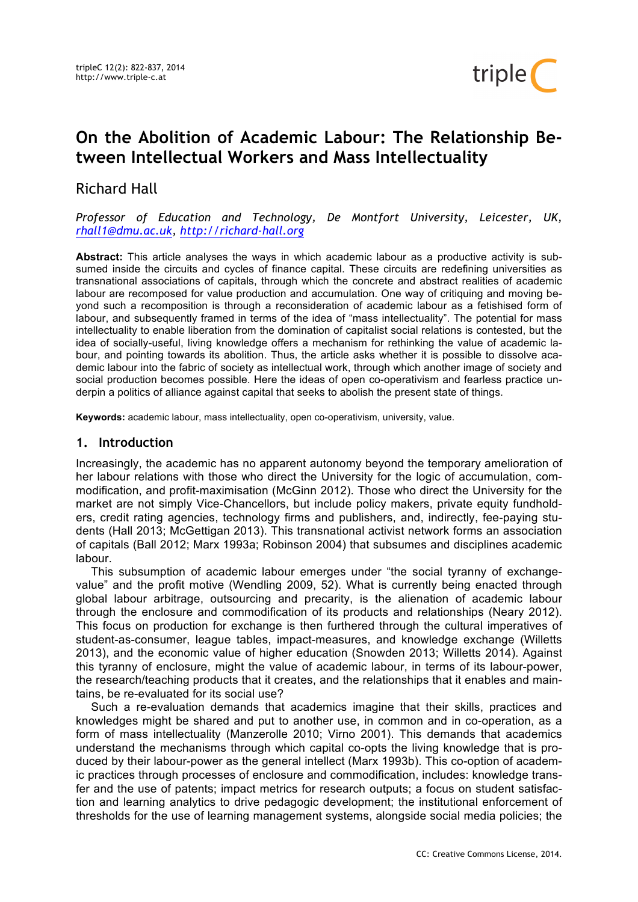

# **On the Abolition of Academic Labour: The Relationship Between Intellectual Workers and Mass Intellectuality**

## Richard Hall

### *Professor of Education and Technology, De Montfort University, Leicester, UK, rhall1@dmu.ac.uk, http://richard-hall.org*

**Abstract:** This article analyses the ways in which academic labour as a productive activity is subsumed inside the circuits and cycles of finance capital. These circuits are redefining universities as transnational associations of capitals, through which the concrete and abstract realities of academic labour are recomposed for value production and accumulation. One way of critiquing and moving beyond such a recomposition is through a reconsideration of academic labour as a fetishised form of labour, and subsequently framed in terms of the idea of "mass intellectuality". The potential for mass intellectuality to enable liberation from the domination of capitalist social relations is contested, but the idea of socially-useful, living knowledge offers a mechanism for rethinking the value of academic labour, and pointing towards its abolition. Thus, the article asks whether it is possible to dissolve academic labour into the fabric of society as intellectual work, through which another image of society and social production becomes possible. Here the ideas of open co-operativism and fearless practice underpin a politics of alliance against capital that seeks to abolish the present state of things.

**Keywords:** academic labour, mass intellectuality, open co-operativism, university, value.

## **1. Introduction**

Increasingly, the academic has no apparent autonomy beyond the temporary amelioration of her labour relations with those who direct the University for the logic of accumulation, commodification, and profit-maximisation (McGinn 2012). Those who direct the University for the market are not simply Vice-Chancellors, but include policy makers, private equity fundholders, credit rating agencies, technology firms and publishers, and, indirectly, fee-paying students (Hall 2013; McGettigan 2013). This transnational activist network forms an association of capitals (Ball 2012; Marx 1993a; Robinson 2004) that subsumes and disciplines academic labour.

This subsumption of academic labour emerges under "the social tyranny of exchangevalue" and the profit motive (Wendling 2009, 52). What is currently being enacted through global labour arbitrage, outsourcing and precarity, is the alienation of academic labour through the enclosure and commodification of its products and relationships (Neary 2012). This focus on production for exchange is then furthered through the cultural imperatives of student-as-consumer, league tables, impact-measures, and knowledge exchange (Willetts 2013), and the economic value of higher education (Snowden 2013; Willetts 2014). Against this tyranny of enclosure, might the value of academic labour, in terms of its labour-power, the research/teaching products that it creates, and the relationships that it enables and maintains, be re-evaluated for its social use?

Such a re-evaluation demands that academics imagine that their skills, practices and knowledges might be shared and put to another use, in common and in co-operation, as a form of mass intellectuality (Manzerolle 2010; Virno 2001). This demands that academics understand the mechanisms through which capital co-opts the living knowledge that is produced by their labour-power as the general intellect (Marx 1993b). This co-option of academic practices through processes of enclosure and commodification, includes: knowledge transfer and the use of patents; impact metrics for research outputs; a focus on student satisfaction and learning analytics to drive pedagogic development; the institutional enforcement of thresholds for the use of learning management systems, alongside social media policies; the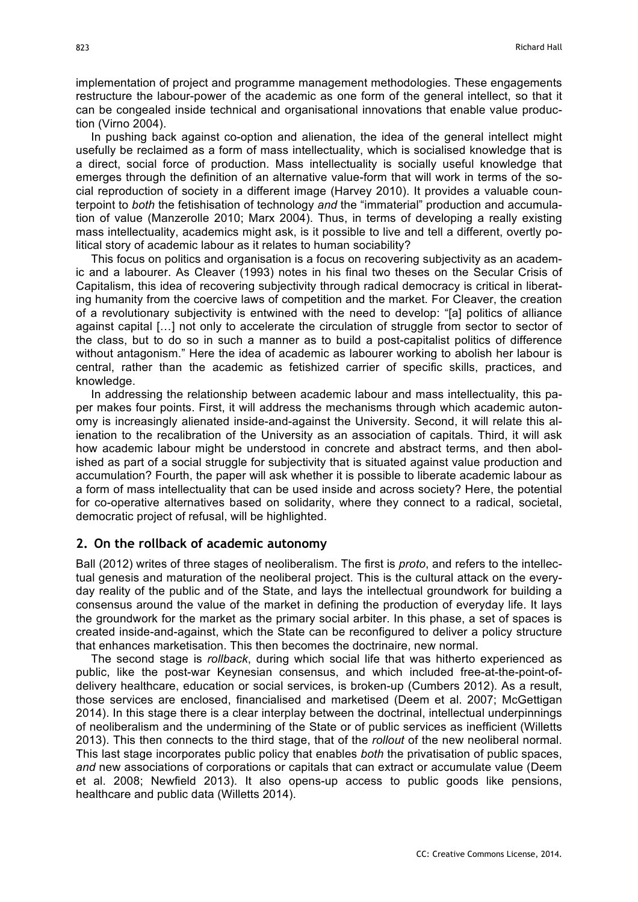implementation of project and programme management methodologies. These engagements restructure the labour-power of the academic as one form of the general intellect, so that it can be congealed inside technical and organisational innovations that enable value production (Virno 2004).

In pushing back against co-option and alienation, the idea of the general intellect might usefully be reclaimed as a form of mass intellectuality, which is socialised knowledge that is a direct, social force of production. Mass intellectuality is socially useful knowledge that emerges through the definition of an alternative value-form that will work in terms of the social reproduction of society in a different image (Harvey 2010). It provides a valuable counterpoint to *both* the fetishisation of technology *and* the "immaterial" production and accumulation of value (Manzerolle 2010; Marx 2004). Thus, in terms of developing a really existing mass intellectuality, academics might ask, is it possible to live and tell a different, overtly political story of academic labour as it relates to human sociability?

This focus on politics and organisation is a focus on recovering subjectivity as an academic and a labourer. As Cleaver (1993) notes in his final two theses on the Secular Crisis of Capitalism, this idea of recovering subjectivity through radical democracy is critical in liberating humanity from the coercive laws of competition and the market. For Cleaver, the creation of a revolutionary subjectivity is entwined with the need to develop: "[a] politics of alliance against capital […] not only to accelerate the circulation of struggle from sector to sector of the class, but to do so in such a manner as to build a post-capitalist politics of difference without antagonism." Here the idea of academic as labourer working to abolish her labour is central, rather than the academic as fetishized carrier of specific skills, practices, and knowledge.

In addressing the relationship between academic labour and mass intellectuality, this paper makes four points. First, it will address the mechanisms through which academic autonomy is increasingly alienated inside-and-against the University. Second, it will relate this alienation to the recalibration of the University as an association of capitals. Third, it will ask how academic labour might be understood in concrete and abstract terms, and then abolished as part of a social struggle for subjectivity that is situated against value production and accumulation? Fourth, the paper will ask whether it is possible to liberate academic labour as a form of mass intellectuality that can be used inside and across society? Here, the potential for co-operative alternatives based on solidarity, where they connect to a radical, societal, democratic project of refusal, will be highlighted.

#### **2. On the rollback of academic autonomy**

Ball (2012) writes of three stages of neoliberalism. The first is *proto*, and refers to the intellectual genesis and maturation of the neoliberal project. This is the cultural attack on the everyday reality of the public and of the State, and lays the intellectual groundwork for building a consensus around the value of the market in defining the production of everyday life. It lays the groundwork for the market as the primary social arbiter. In this phase, a set of spaces is created inside-and-against, which the State can be reconfigured to deliver a policy structure that enhances marketisation. This then becomes the doctrinaire, new normal.

The second stage is *rollback*, during which social life that was hitherto experienced as public, like the post-war Keynesian consensus, and which included free-at-the-point-ofdelivery healthcare, education or social services, is broken-up (Cumbers 2012). As a result, those services are enclosed, financialised and marketised (Deem et al. 2007; McGettigan 2014). In this stage there is a clear interplay between the doctrinal, intellectual underpinnings of neoliberalism and the undermining of the State or of public services as inefficient (Willetts 2013). This then connects to the third stage, that of the *rollout* of the new neoliberal normal. This last stage incorporates public policy that enables *both* the privatisation of public spaces, *and* new associations of corporations or capitals that can extract or accumulate value (Deem et al. 2008; Newfield 2013). It also opens-up access to public goods like pensions, healthcare and public data (Willetts 2014).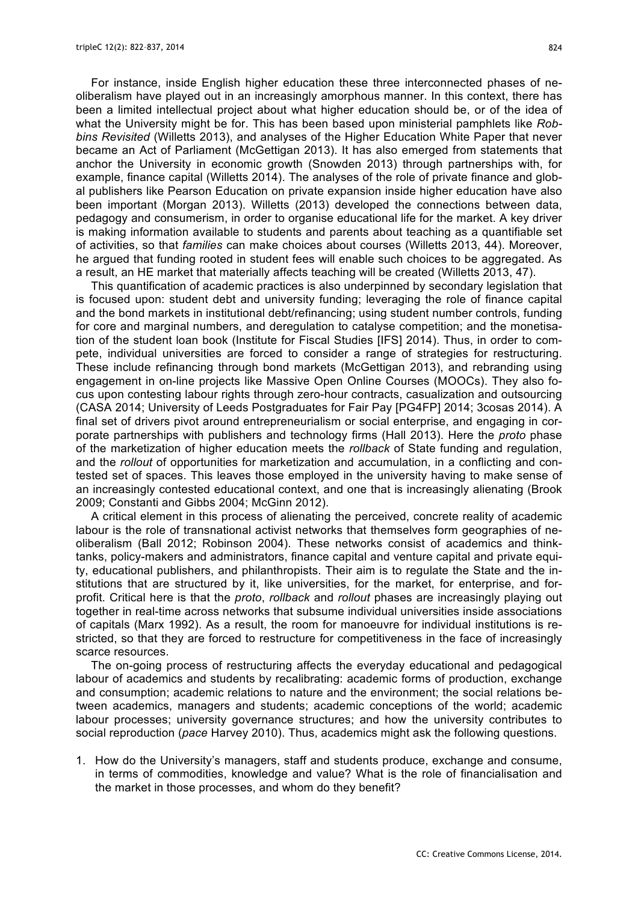For instance, inside English higher education these three interconnected phases of neoliberalism have played out in an increasingly amorphous manner. In this context, there has been a limited intellectual project about what higher education should be, or of the idea of what the University might be for. This has been based upon ministerial pamphlets like *Robbins Revisited* (Willetts 2013), and analyses of the Higher Education White Paper that never became an Act of Parliament (McGettigan 2013). It has also emerged from statements that anchor the University in economic growth (Snowden 2013) through partnerships with, for example, finance capital (Willetts 2014). The analyses of the role of private finance and global publishers like Pearson Education on private expansion inside higher education have also been important (Morgan 2013). Willetts (2013) developed the connections between data, pedagogy and consumerism, in order to organise educational life for the market. A key driver is making information available to students and parents about teaching as a quantifiable set of activities, so that *families* can make choices about courses (Willetts 2013, 44). Moreover, he argued that funding rooted in student fees will enable such choices to be aggregated. As a result, an HE market that materially affects teaching will be created (Willetts 2013, 47).

This quantification of academic practices is also underpinned by secondary legislation that is focused upon: student debt and university funding; leveraging the role of finance capital and the bond markets in institutional debt/refinancing; using student number controls, funding for core and marginal numbers, and deregulation to catalyse competition; and the monetisation of the student loan book (Institute for Fiscal Studies [IFS] 2014). Thus, in order to compete, individual universities are forced to consider a range of strategies for restructuring. These include refinancing through bond markets (McGettigan 2013), and rebranding using engagement in on-line projects like Massive Open Online Courses (MOOCs). They also focus upon contesting labour rights through zero-hour contracts, casualization and outsourcing (CASA 2014; University of Leeds Postgraduates for Fair Pay [PG4FP] 2014; 3cosas 2014). A final set of drivers pivot around entrepreneurialism or social enterprise, and engaging in corporate partnerships with publishers and technology firms (Hall 2013). Here the *proto* phase of the marketization of higher education meets the *rollback* of State funding and regulation, and the *rollout* of opportunities for marketization and accumulation, in a conflicting and contested set of spaces. This leaves those employed in the university having to make sense of an increasingly contested educational context, and one that is increasingly alienating (Brook 2009; Constanti and Gibbs 2004; McGinn 2012).

A critical element in this process of alienating the perceived, concrete reality of academic labour is the role of transnational activist networks that themselves form geographies of neoliberalism (Ball 2012; Robinson 2004). These networks consist of academics and thinktanks, policy-makers and administrators, finance capital and venture capital and private equity, educational publishers, and philanthropists. Their aim is to regulate the State and the institutions that are structured by it, like universities, for the market, for enterprise, and forprofit. Critical here is that the *proto*, *rollback* and *rollout* phases are increasingly playing out together in real-time across networks that subsume individual universities inside associations of capitals (Marx 1992). As a result, the room for manoeuvre for individual institutions is restricted, so that they are forced to restructure for competitiveness in the face of increasingly scarce resources.

The on-going process of restructuring affects the everyday educational and pedagogical labour of academics and students by recalibrating: academic forms of production, exchange and consumption; academic relations to nature and the environment; the social relations between academics, managers and students; academic conceptions of the world; academic labour processes; university governance structures; and how the university contributes to social reproduction (*pace* Harvey 2010). Thus, academics might ask the following questions.

1. How do the University's managers, staff and students produce, exchange and consume, in terms of commodities, knowledge and value? What is the role of financialisation and the market in those processes, and whom do they benefit?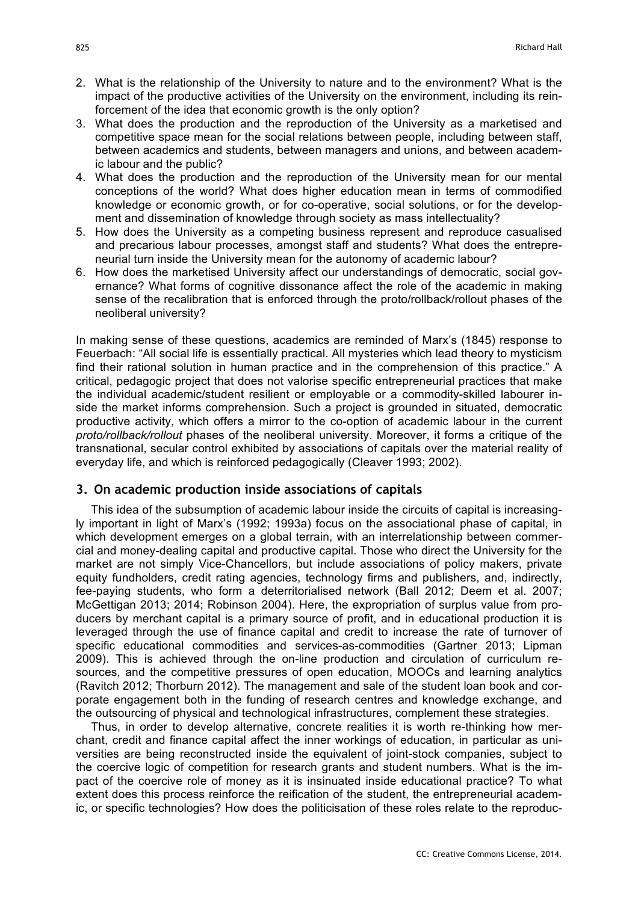- 2. What is the relationship of the University to nature and to the environment? What is the impact of the productive activities of the University on the environment, including its reinforcement of the idea that economic growth is the only option?
- 3. What does the production and the reproduction of the University as a marketised and competitive space mean for the social relations between people, including between staff, between academics and students, between managers and unions, and between academic labour and the public?
- 4. What does the production and the reproduction of the University mean for our mental conceptions of the world? What does higher education mean in terms of commodified knowledge or economic growth, or for co-operative, social solutions, or for the development and dissemination of knowledge through society as mass intellectuality?
- 5. How does the University as a competing business represent and reproduce casualised and precarious labour processes, amongst staff and students? What does the entrepreneurial turn inside the University mean for the autonomy of academic labour?
- 6. How does the marketised University affect our understandings of democratic, social governance? What forms of cognitive dissonance affect the role of the academic in making sense of the recalibration that is enforced through the proto/rollback/rollout phases of the neoliberal university?

In making sense of these questions, academics are reminded of Marx's (1845) response to Feuerbach: "All social life is essentially practical. All mysteries which lead theory to mysticism find their rational solution in human practice and in the comprehension of this practice." A critical, pedagogic project that does not valorise specific entrepreneurial practices that make the individual academic/student resilient or employable or a commodity-skilled labourer inside the market informs comprehension. Such a project is grounded in situated, democratic productive activity, which offers a mirror to the co-option of academic labour in the current *proto/rollback/rollout* phases of the neoliberal university. Moreover, it forms a critique of the transnational, secular control exhibited by associations of capitals over the material reality of everyday life, and which is reinforced pedagogically (Cleaver 1993; 2002).

#### **3. On academic production inside associations of capitals**

This idea of the subsumption of academic labour inside the circuits of capital is increasingly important in light of Marx's (1992; 1993a) focus on the associational phase of capital, in which development emerges on a global terrain, with an interrelationship between commercial and money-dealing capital and productive capital. Those who direct the University for the market are not simply Vice-Chancellors, but include associations of policy makers, private equity fundholders, credit rating agencies, technology firms and publishers, and, indirectly, fee-paying students, who form a deterritorialised network (Ball 2012; Deem et al. 2007; McGettigan 2013; 2014; Robinson 2004). Here, the expropriation of surplus value from producers by merchant capital is a primary source of profit, and in educational production it is leveraged through the use of finance capital and credit to increase the rate of turnover of specific educational commodities and services-as-commodities (Gartner 2013; Lipman 2009). This is achieved through the on-line production and circulation of curriculum resources, and the competitive pressures of open education, MOOCs and learning analytics (Ravitch 2012; Thorburn 2012). The management and sale of the student loan book and corporate engagement both in the funding of research centres and knowledge exchange, and the outsourcing of physical and technological infrastructures, complement these strategies.

Thus, in order to develop alternative, concrete realities it is worth re-thinking how merchant, credit and finance capital affect the inner workings of education, in particular as universities are being reconstructed inside the equivalent of joint-stock companies, subject to the coercive logic of competition for research grants and student numbers. What is the impact of the coercive role of money as it is insinuated inside educational practice? To what extent does this process reinforce the reification of the student, the entrepreneurial academic, or specific technologies? How does the politicisation of these roles relate to the reproduc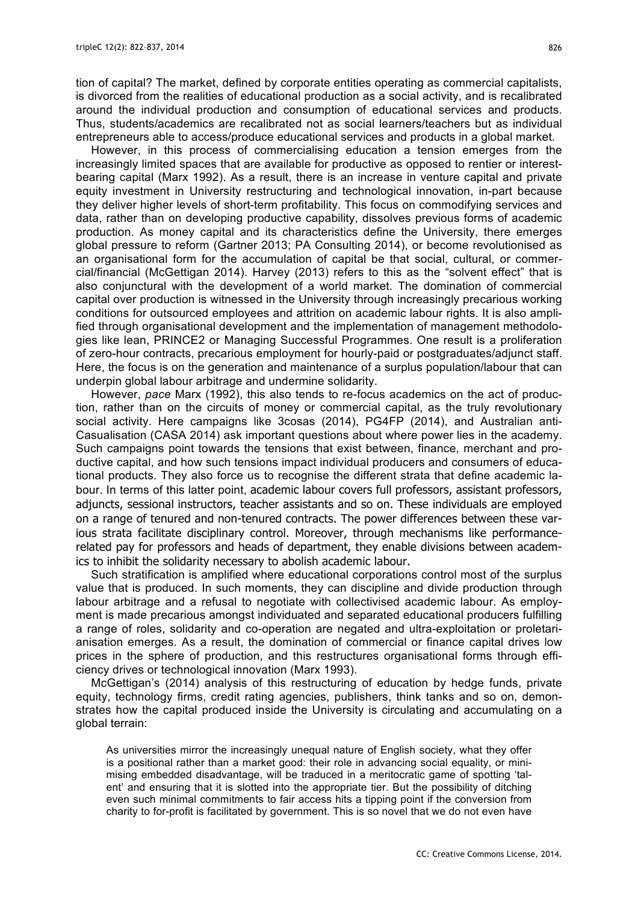tion of capital? The market, defined by corporate entities operating as commercial capitalists, is divorced from the realities of educational production as a social activity, and is recalibrated around the individual production and consumption of educational services and products. Thus, students/academics are recalibrated not as social learners/teachers but as individual entrepreneurs able to access/produce educational services and products in a global market.

However, in this process of commercialising education a tension emerges from the increasingly limited spaces that are available for productive as opposed to rentier or interestbearing capital (Marx 1992). As a result, there is an increase in venture capital and private equity investment in University restructuring and technological innovation, in-part because they deliver higher levels of short-term profitability. This focus on commodifying services and data, rather than on developing productive capability, dissolves previous forms of academic production. As money capital and its characteristics define the University, there emerges global pressure to reform (Gartner 2013; PA Consulting 2014), or become revolutionised as an organisational form for the accumulation of capital be that social, cultural, or commercial/financial (McGettigan 2014). Harvey (2013) refers to this as the "solvent effect" that is also conjunctural with the development of a world market. The domination of commercial capital over production is witnessed in the University through increasingly precarious working conditions for outsourced employees and attrition on academic labour rights. It is also amplified through organisational development and the implementation of management methodologies like lean, PRINCE2 or Managing Successful Programmes. One result is a proliferation of zero-hour contracts, precarious employment for hourly-paid or postgraduates/adjunct staff. Here, the focus is on the generation and maintenance of a surplus population/labour that can underpin global labour arbitrage and undermine solidarity.

However, *pace* Marx (1992), this also tends to re-focus academics on the act of production, rather than on the circuits of money or commercial capital, as the truly revolutionary social activity. Here campaigns like 3cosas (2014), PG4FP (2014), and Australian anti-Casualisation (CASA 2014) ask important questions about where power lies in the academy. Such campaigns point towards the tensions that exist between, finance, merchant and productive capital, and how such tensions impact individual producers and consumers of educational products. They also force us to recognise the different strata that define academic labour. In terms of this latter point, academic labour covers full professors, assistant professors, adjuncts, sessional instructors, teacher assistants and so on. These individuals are employed on a range of tenured and non-tenured contracts. The power differences between these various strata facilitate disciplinary control. Moreover, through mechanisms like performancerelated pay for professors and heads of department, they enable divisions between academics to inhibit the solidarity necessary to abolish academic labour.

Such stratification is amplified where educational corporations control most of the surplus value that is produced. In such moments, they can discipline and divide production through labour arbitrage and a refusal to negotiate with collectivised academic labour. As employment is made precarious amongst individuated and separated educational producers fulfilling a range of roles, solidarity and co-operation are negated and ultra-exploitation or proletarianisation emerges. As a result, the domination of commercial or finance capital drives low prices in the sphere of production, and this restructures organisational forms through efficiency drives or technological innovation (Marx 1993).

McGettigan's (2014) analysis of this restructuring of education by hedge funds, private equity, technology firms, credit rating agencies, publishers, think tanks and so on, demonstrates how the capital produced inside the University is circulating and accumulating on a global terrain:

As universities mirror the increasingly unequal nature of English society, what they offer is a positional rather than a market good: their role in advancing social equality, or minimising embedded disadvantage, will be traduced in a meritocratic game of spotting 'talent' and ensuring that it is slotted into the appropriate tier. But the possibility of ditching even such minimal commitments to fair access hits a tipping point if the conversion from charity to for-profit is facilitated by government. This is so novel that we do not even have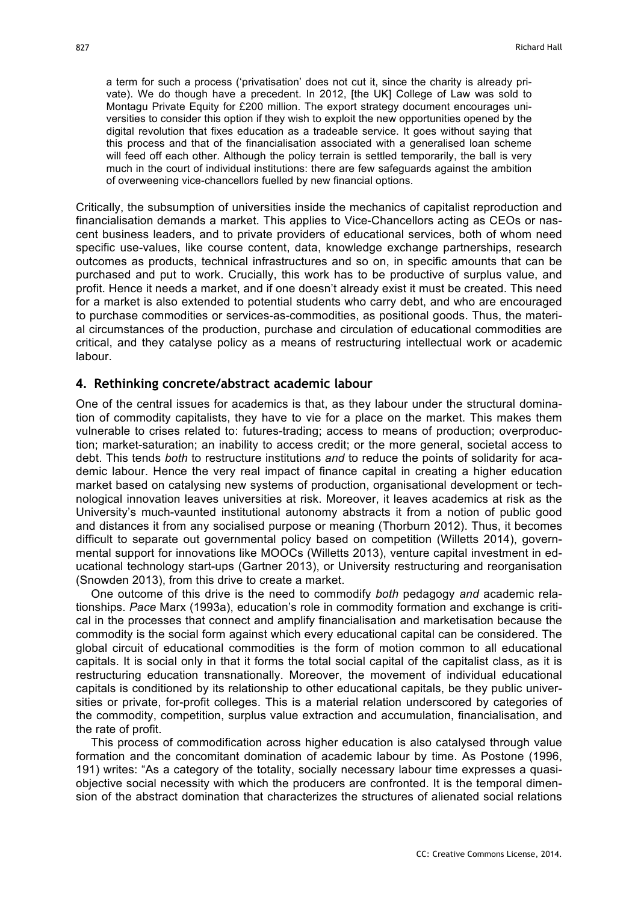a term for such a process ('privatisation' does not cut it, since the charity is already private). We do though have a precedent. In 2012, [the UK] College of Law was sold to Montagu Private Equity for £200 million. The export strategy document encourages universities to consider this option if they wish to exploit the new opportunities opened by the digital revolution that fixes education as a tradeable service. It goes without saying that this process and that of the financialisation associated with a generalised loan scheme will feed off each other. Although the policy terrain is settled temporarily, the ball is very much in the court of individual institutions: there are few safeguards against the ambition of overweening vice-chancellors fuelled by new financial options.

Critically, the subsumption of universities inside the mechanics of capitalist reproduction and financialisation demands a market. This applies to Vice-Chancellors acting as CEOs or nascent business leaders, and to private providers of educational services, both of whom need specific use-values, like course content, data, knowledge exchange partnerships, research outcomes as products, technical infrastructures and so on, in specific amounts that can be purchased and put to work. Crucially, this work has to be productive of surplus value, and profit. Hence it needs a market, and if one doesn't already exist it must be created. This need for a market is also extended to potential students who carry debt, and who are encouraged to purchase commodities or services-as-commodities, as positional goods. Thus, the material circumstances of the production, purchase and circulation of educational commodities are critical, and they catalyse policy as a means of restructuring intellectual work or academic labour.

#### **4. Rethinking concrete/abstract academic labour**

One of the central issues for academics is that, as they labour under the structural domination of commodity capitalists, they have to vie for a place on the market. This makes them vulnerable to crises related to: futures-trading; access to means of production; overproduction; market-saturation; an inability to access credit; or the more general, societal access to debt. This tends *both* to restructure institutions *and* to reduce the points of solidarity for academic labour. Hence the very real impact of finance capital in creating a higher education market based on catalysing new systems of production, organisational development or technological innovation leaves universities at risk. Moreover, it leaves academics at risk as the University's much-vaunted institutional autonomy abstracts it from a notion of public good and distances it from any socialised purpose or meaning (Thorburn 2012). Thus, it becomes difficult to separate out governmental policy based on competition (Willetts 2014), governmental support for innovations like MOOCs (Willetts 2013), venture capital investment in educational technology start-ups (Gartner 2013), or University restructuring and reorganisation (Snowden 2013), from this drive to create a market.

One outcome of this drive is the need to commodify *both* pedagogy *and* academic relationships. *Pace* Marx (1993a), education's role in commodity formation and exchange is critical in the processes that connect and amplify financialisation and marketisation because the commodity is the social form against which every educational capital can be considered. The global circuit of educational commodities is the form of motion common to all educational capitals. It is social only in that it forms the total social capital of the capitalist class, as it is restructuring education transnationally. Moreover, the movement of individual educational capitals is conditioned by its relationship to other educational capitals, be they public universities or private, for-profit colleges. This is a material relation underscored by categories of the commodity, competition, surplus value extraction and accumulation, financialisation, and the rate of profit.

This process of commodification across higher education is also catalysed through value formation and the concomitant domination of academic labour by time. As Postone (1996, 191) writes: "As a category of the totality, socially necessary labour time expresses a quasiobjective social necessity with which the producers are confronted. It is the temporal dimension of the abstract domination that characterizes the structures of alienated social relations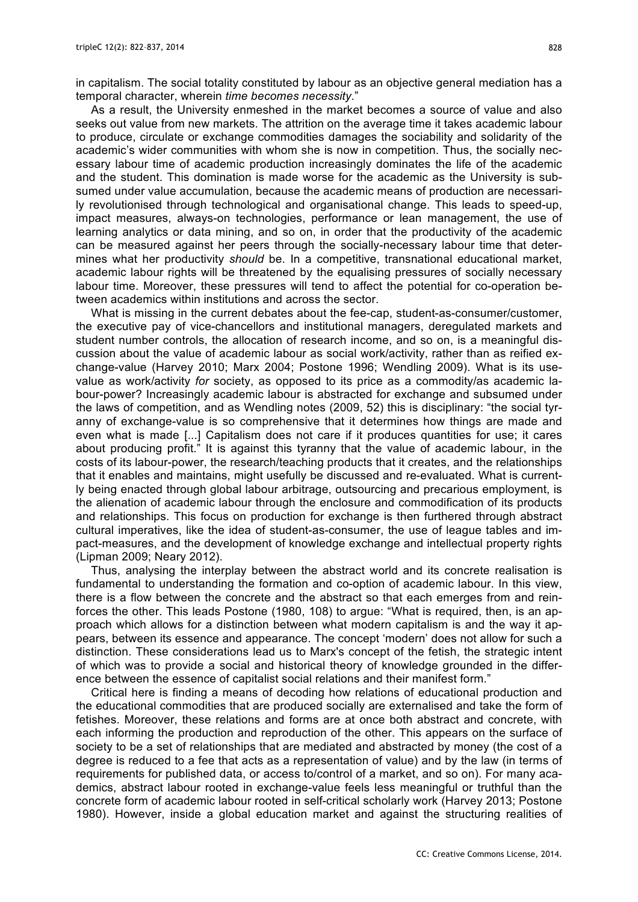in capitalism. The social totality constituted by labour as an objective general mediation has a temporal character, wherein *time becomes necessity*."

As a result, the University enmeshed in the market becomes a source of value and also seeks out value from new markets. The attrition on the average time it takes academic labour to produce, circulate or exchange commodities damages the sociability and solidarity of the academic's wider communities with whom she is now in competition. Thus, the socially necessary labour time of academic production increasingly dominates the life of the academic and the student. This domination is made worse for the academic as the University is subsumed under value accumulation, because the academic means of production are necessarily revolutionised through technological and organisational change. This leads to speed-up, impact measures, always-on technologies, performance or lean management, the use of learning analytics or data mining, and so on, in order that the productivity of the academic can be measured against her peers through the socially-necessary labour time that determines what her productivity *should* be. In a competitive, transnational educational market, academic labour rights will be threatened by the equalising pressures of socially necessary labour time. Moreover, these pressures will tend to affect the potential for co-operation between academics within institutions and across the sector.

What is missing in the current debates about the fee-cap, student-as-consumer/customer, the executive pay of vice-chancellors and institutional managers, deregulated markets and student number controls, the allocation of research income, and so on, is a meaningful discussion about the value of academic labour as social work/activity, rather than as reified exchange-value (Harvey 2010; Marx 2004; Postone 1996; Wendling 2009). What is its usevalue as work/activity *for* society, as opposed to its price as a commodity/as academic labour-power? Increasingly academic labour is abstracted for exchange and subsumed under the laws of competition, and as Wendling notes (2009, 52) this is disciplinary: "the social tyranny of exchange-value is so comprehensive that it determines how things are made and even what is made [...] Capitalism does not care if it produces quantities for use; it cares about producing profit." It is against this tyranny that the value of academic labour, in the costs of its labour-power, the research/teaching products that it creates, and the relationships that it enables and maintains, might usefully be discussed and re-evaluated. What is currently being enacted through global labour arbitrage, outsourcing and precarious employment, is the alienation of academic labour through the enclosure and commodification of its products and relationships. This focus on production for exchange is then furthered through abstract cultural imperatives, like the idea of student-as-consumer, the use of league tables and impact-measures, and the development of knowledge exchange and intellectual property rights (Lipman 2009; Neary 2012).

Thus, analysing the interplay between the abstract world and its concrete realisation is fundamental to understanding the formation and co-option of academic labour. In this view, there is a flow between the concrete and the abstract so that each emerges from and reinforces the other. This leads Postone (1980, 108) to argue: "What is required, then, is an approach which allows for a distinction between what modern capitalism is and the way it appears, between its essence and appearance. The concept 'modern' does not allow for such a distinction. These considerations lead us to Marx's concept of the fetish, the strategic intent of which was to provide a social and historical theory of knowledge grounded in the difference between the essence of capitalist social relations and their manifest form."

Critical here is finding a means of decoding how relations of educational production and the educational commodities that are produced socially are externalised and take the form of fetishes. Moreover, these relations and forms are at once both abstract and concrete, with each informing the production and reproduction of the other. This appears on the surface of society to be a set of relationships that are mediated and abstracted by money (the cost of a degree is reduced to a fee that acts as a representation of value) and by the law (in terms of requirements for published data, or access to/control of a market, and so on). For many academics, abstract labour rooted in exchange-value feels less meaningful or truthful than the concrete form of academic labour rooted in self-critical scholarly work (Harvey 2013; Postone 1980). However, inside a global education market and against the structuring realities of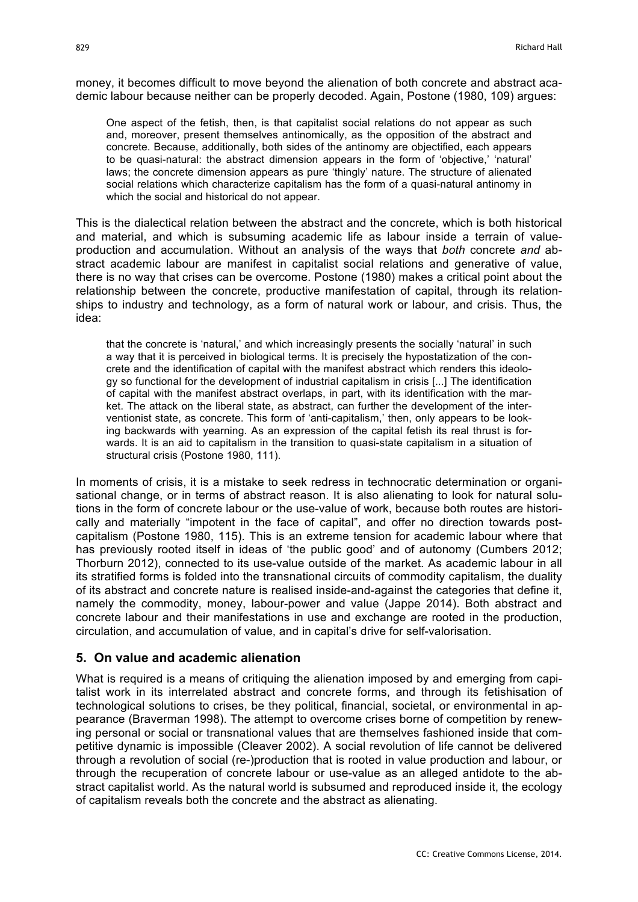money, it becomes difficult to move beyond the alienation of both concrete and abstract academic labour because neither can be properly decoded. Again, Postone (1980, 109) argues:

One aspect of the fetish, then, is that capitalist social relations do not appear as such and, moreover, present themselves antinomically, as the opposition of the abstract and concrete. Because, additionally, both sides of the antinomy are objectified, each appears to be quasi-natural: the abstract dimension appears in the form of 'objective,' 'natural' laws; the concrete dimension appears as pure 'thingly' nature. The structure of alienated social relations which characterize capitalism has the form of a quasi-natural antinomy in which the social and historical do not appear.

This is the dialectical relation between the abstract and the concrete, which is both historical and material, and which is subsuming academic life as labour inside a terrain of valueproduction and accumulation. Without an analysis of the ways that *both* concrete *and* abstract academic labour are manifest in capitalist social relations and generative of value, there is no way that crises can be overcome. Postone (1980) makes a critical point about the relationship between the concrete, productive manifestation of capital, through its relationships to industry and technology, as a form of natural work or labour, and crisis. Thus, the idea:

that the concrete is 'natural,' and which increasingly presents the socially 'natural' in such a way that it is perceived in biological terms. It is precisely the hypostatization of the concrete and the identification of capital with the manifest abstract which renders this ideology so functional for the development of industrial capitalism in crisis [...] The identification of capital with the manifest abstract overlaps, in part, with its identification with the market. The attack on the liberal state, as abstract, can further the development of the interventionist state, as concrete. This form of 'anti-capitalism,' then, only appears to be looking backwards with yearning. As an expression of the capital fetish its real thrust is forwards. It is an aid to capitalism in the transition to quasi-state capitalism in a situation of structural crisis (Postone 1980, 111).

In moments of crisis, it is a mistake to seek redress in technocratic determination or organisational change, or in terms of abstract reason. It is also alienating to look for natural solutions in the form of concrete labour or the use-value of work, because both routes are historically and materially "impotent in the face of capital", and offer no direction towards postcapitalism (Postone 1980, 115). This is an extreme tension for academic labour where that has previously rooted itself in ideas of 'the public good' and of autonomy (Cumbers 2012; Thorburn 2012), connected to its use-value outside of the market. As academic labour in all its stratified forms is folded into the transnational circuits of commodity capitalism, the duality of its abstract and concrete nature is realised inside-and-against the categories that define it, namely the commodity, money, labour-power and value (Jappe 2014). Both abstract and concrete labour and their manifestations in use and exchange are rooted in the production, circulation, and accumulation of value, and in capital's drive for self-valorisation.

#### **5. On value and academic alienation**

What is required is a means of critiquing the alienation imposed by and emerging from capitalist work in its interrelated abstract and concrete forms, and through its fetishisation of technological solutions to crises, be they political, financial, societal, or environmental in appearance (Braverman 1998). The attempt to overcome crises borne of competition by renewing personal or social or transnational values that are themselves fashioned inside that competitive dynamic is impossible (Cleaver 2002). A social revolution of life cannot be delivered through a revolution of social (re-)production that is rooted in value production and labour, or through the recuperation of concrete labour or use-value as an alleged antidote to the abstract capitalist world. As the natural world is subsumed and reproduced inside it, the ecology of capitalism reveals both the concrete and the abstract as alienating.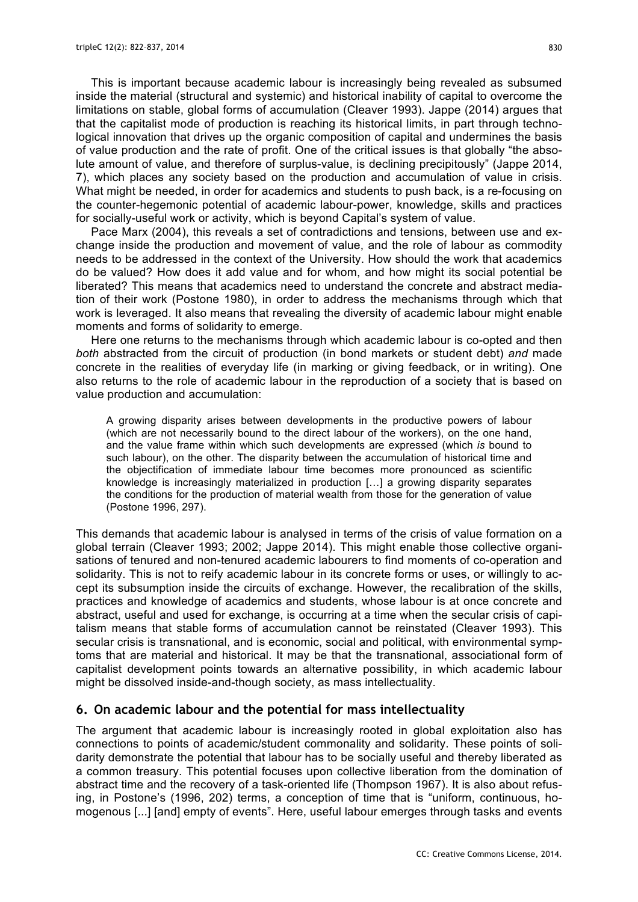This is important because academic labour is increasingly being revealed as subsumed inside the material (structural and systemic) and historical inability of capital to overcome the limitations on stable, global forms of accumulation (Cleaver 1993). Jappe (2014) argues that that the capitalist mode of production is reaching its historical limits, in part through technological innovation that drives up the organic composition of capital and undermines the basis of value production and the rate of profit. One of the critical issues is that globally "the absolute amount of value, and therefore of surplus-value, is declining precipitously" (Jappe 2014, 7), which places any society based on the production and accumulation of value in crisis. What might be needed, in order for academics and students to push back, is a re-focusing on the counter-hegemonic potential of academic labour-power, knowledge, skills and practices for socially-useful work or activity, which is beyond Capital's system of value.

Pace Marx (2004), this reveals a set of contradictions and tensions, between use and exchange inside the production and movement of value, and the role of labour as commodity needs to be addressed in the context of the University. How should the work that academics do be valued? How does it add value and for whom, and how might its social potential be liberated? This means that academics need to understand the concrete and abstract mediation of their work (Postone 1980), in order to address the mechanisms through which that work is leveraged. It also means that revealing the diversity of academic labour might enable moments and forms of solidarity to emerge.

Here one returns to the mechanisms through which academic labour is co-opted and then *both* abstracted from the circuit of production (in bond markets or student debt) *and* made concrete in the realities of everyday life (in marking or giving feedback, or in writing). One also returns to the role of academic labour in the reproduction of a society that is based on value production and accumulation:

A growing disparity arises between developments in the productive powers of labour (which are not necessarily bound to the direct labour of the workers), on the one hand, and the value frame within which such developments are expressed (which *is* bound to such labour), on the other. The disparity between the accumulation of historical time and the objectification of immediate labour time becomes more pronounced as scientific knowledge is increasingly materialized in production […] a growing disparity separates the conditions for the production of material wealth from those for the generation of value (Postone 1996, 297).

This demands that academic labour is analysed in terms of the crisis of value formation on a global terrain (Cleaver 1993; 2002; Jappe 2014). This might enable those collective organisations of tenured and non-tenured academic labourers to find moments of co-operation and solidarity. This is not to reify academic labour in its concrete forms or uses, or willingly to accept its subsumption inside the circuits of exchange. However, the recalibration of the skills, practices and knowledge of academics and students, whose labour is at once concrete and abstract, useful and used for exchange, is occurring at a time when the secular crisis of capitalism means that stable forms of accumulation cannot be reinstated (Cleaver 1993). This secular crisis is transnational, and is economic, social and political, with environmental symptoms that are material and historical. It may be that the transnational, associational form of capitalist development points towards an alternative possibility, in which academic labour might be dissolved inside-and-though society, as mass intellectuality.

#### **6. On academic labour and the potential for mass intellectuality**

The argument that academic labour is increasingly rooted in global exploitation also has connections to points of academic/student commonality and solidarity. These points of solidarity demonstrate the potential that labour has to be socially useful and thereby liberated as a common treasury. This potential focuses upon collective liberation from the domination of abstract time and the recovery of a task-oriented life (Thompson 1967). It is also about refusing, in Postone's (1996, 202) terms, a conception of time that is "uniform, continuous, homogenous [...] [and] empty of events". Here, useful labour emerges through tasks and events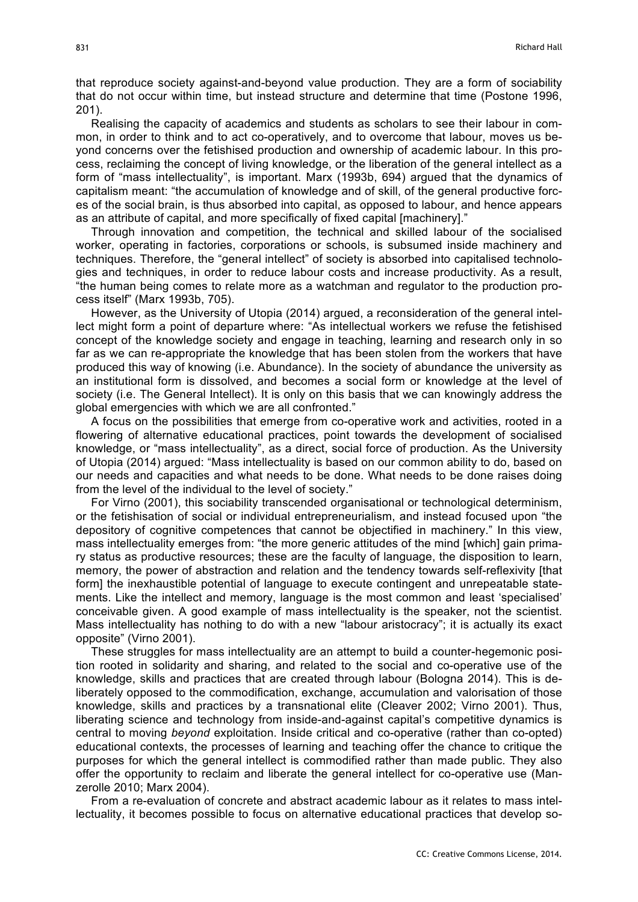that reproduce society against-and-beyond value production. They are a form of sociability that do not occur within time, but instead structure and determine that time (Postone 1996, 201).

Realising the capacity of academics and students as scholars to see their labour in common, in order to think and to act co-operatively, and to overcome that labour, moves us beyond concerns over the fetishised production and ownership of academic labour. In this process, reclaiming the concept of living knowledge, or the liberation of the general intellect as a form of "mass intellectuality", is important. Marx (1993b, 694) argued that the dynamics of capitalism meant: "the accumulation of knowledge and of skill, of the general productive forces of the social brain, is thus absorbed into capital, as opposed to labour, and hence appears as an attribute of capital, and more specifically of fixed capital [machinery]."

Through innovation and competition, the technical and skilled labour of the socialised worker, operating in factories, corporations or schools, is subsumed inside machinery and techniques. Therefore, the "general intellect" of society is absorbed into capitalised technologies and techniques, in order to reduce labour costs and increase productivity. As a result, "the human being comes to relate more as a watchman and regulator to the production process itself" (Marx 1993b, 705).

However, as the University of Utopia (2014) argued, a reconsideration of the general intellect might form a point of departure where: "As intellectual workers we refuse the fetishised concept of the knowledge society and engage in teaching, learning and research only in so far as we can re-appropriate the knowledge that has been stolen from the workers that have produced this way of knowing (i.e. Abundance). In the society of abundance the university as an institutional form is dissolved, and becomes a social form or knowledge at the level of society (i.e. The General Intellect). It is only on this basis that we can knowingly address the global emergencies with which we are all confronted."

A focus on the possibilities that emerge from co-operative work and activities, rooted in a flowering of alternative educational practices, point towards the development of socialised knowledge, or "mass intellectuality", as a direct, social force of production. As the University of Utopia (2014) argued: "Mass intellectuality is based on our common ability to do, based on our needs and capacities and what needs to be done. What needs to be done raises doing from the level of the individual to the level of society."

For Virno (2001), this sociability transcended organisational or technological determinism, or the fetishisation of social or individual entrepreneurialism, and instead focused upon "the depository of cognitive competences that cannot be objectified in machinery." In this view, mass intellectuality emerges from: "the more generic attitudes of the mind [which] gain primary status as productive resources; these are the faculty of language, the disposition to learn, memory, the power of abstraction and relation and the tendency towards self-reflexivity [that form] the inexhaustible potential of language to execute contingent and unrepeatable statements. Like the intellect and memory, language is the most common and least 'specialised' conceivable given. A good example of mass intellectuality is the speaker, not the scientist. Mass intellectuality has nothing to do with a new "labour aristocracy"; it is actually its exact opposite" (Virno 2001).

These struggles for mass intellectuality are an attempt to build a counter-hegemonic position rooted in solidarity and sharing, and related to the social and co-operative use of the knowledge, skills and practices that are created through labour (Bologna 2014). This is deliberately opposed to the commodification, exchange, accumulation and valorisation of those knowledge, skills and practices by a transnational elite (Cleaver 2002; Virno 2001). Thus, liberating science and technology from inside-and-against capital's competitive dynamics is central to moving *beyond* exploitation. Inside critical and co-operative (rather than co-opted) educational contexts, the processes of learning and teaching offer the chance to critique the purposes for which the general intellect is commodified rather than made public. They also offer the opportunity to reclaim and liberate the general intellect for co-operative use (Manzerolle 2010; Marx 2004).

From a re-evaluation of concrete and abstract academic labour as it relates to mass intellectuality, it becomes possible to focus on alternative educational practices that develop so-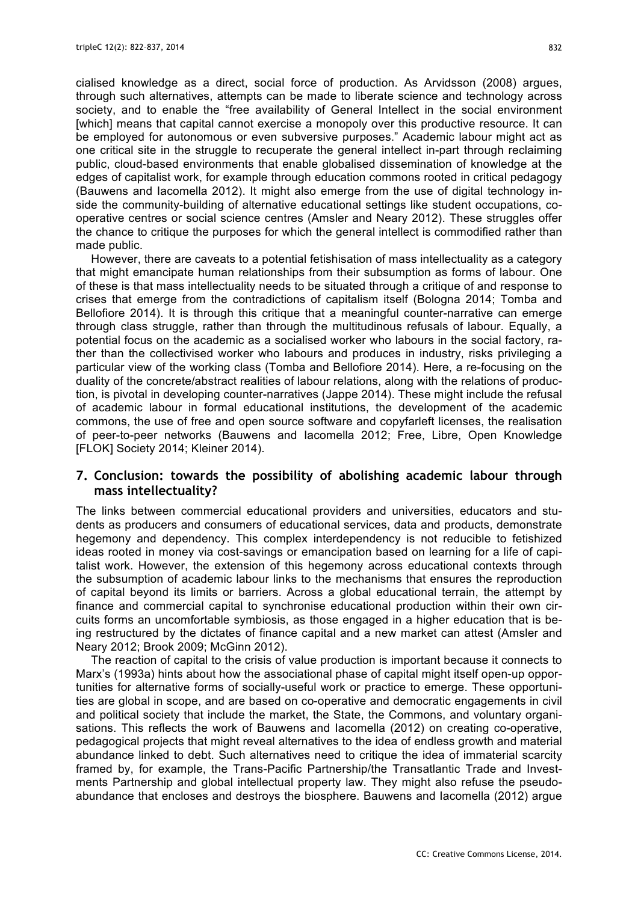cialised knowledge as a direct, social force of production. As Arvidsson (2008) argues, through such alternatives, attempts can be made to liberate science and technology across society, and to enable the "free availability of General Intellect in the social environment [which] means that capital cannot exercise a monopoly over this productive resource. It can be employed for autonomous or even subversive purposes." Academic labour might act as one critical site in the struggle to recuperate the general intellect in-part through reclaiming public, cloud-based environments that enable globalised dissemination of knowledge at the edges of capitalist work, for example through education commons rooted in critical pedagogy (Bauwens and Iacomella 2012). It might also emerge from the use of digital technology inside the community-building of alternative educational settings like student occupations, cooperative centres or social science centres (Amsler and Neary 2012). These struggles offer the chance to critique the purposes for which the general intellect is commodified rather than made public.

However, there are caveats to a potential fetishisation of mass intellectuality as a category that might emancipate human relationships from their subsumption as forms of labour. One of these is that mass intellectuality needs to be situated through a critique of and response to crises that emerge from the contradictions of capitalism itself (Bologna 2014; Tomba and Bellofiore 2014). It is through this critique that a meaningful counter-narrative can emerge through class struggle, rather than through the multitudinous refusals of labour. Equally, a potential focus on the academic as a socialised worker who labours in the social factory, rather than the collectivised worker who labours and produces in industry, risks privileging a particular view of the working class (Tomba and Bellofiore 2014). Here, a re-focusing on the duality of the concrete/abstract realities of labour relations, along with the relations of production, is pivotal in developing counter-narratives (Jappe 2014). These might include the refusal of academic labour in formal educational institutions, the development of the academic commons, the use of free and open source software and copyfarleft licenses, the realisation of peer-to-peer networks (Bauwens and Iacomella 2012; Free, Libre, Open Knowledge [FLOK] Society 2014; Kleiner 2014).

## **7. Conclusion: towards the possibility of abolishing academic labour through mass intellectuality?**

The links between commercial educational providers and universities, educators and students as producers and consumers of educational services, data and products, demonstrate hegemony and dependency. This complex interdependency is not reducible to fetishized ideas rooted in money via cost-savings or emancipation based on learning for a life of capitalist work. However, the extension of this hegemony across educational contexts through the subsumption of academic labour links to the mechanisms that ensures the reproduction of capital beyond its limits or barriers. Across a global educational terrain, the attempt by finance and commercial capital to synchronise educational production within their own circuits forms an uncomfortable symbiosis, as those engaged in a higher education that is being restructured by the dictates of finance capital and a new market can attest (Amsler and Neary 2012; Brook 2009; McGinn 2012).

The reaction of capital to the crisis of value production is important because it connects to Marx's (1993a) hints about how the associational phase of capital might itself open-up opportunities for alternative forms of socially-useful work or practice to emerge. These opportunities are global in scope, and are based on co-operative and democratic engagements in civil and political society that include the market, the State, the Commons, and voluntary organisations. This reflects the work of Bauwens and Iacomella (2012) on creating co-operative, pedagogical projects that might reveal alternatives to the idea of endless growth and material abundance linked to debt. Such alternatives need to critique the idea of immaterial scarcity framed by, for example, the Trans-Pacific Partnership/the Transatlantic Trade and Investments Partnership and global intellectual property law. They might also refuse the pseudoabundance that encloses and destroys the biosphere. Bauwens and Iacomella (2012) argue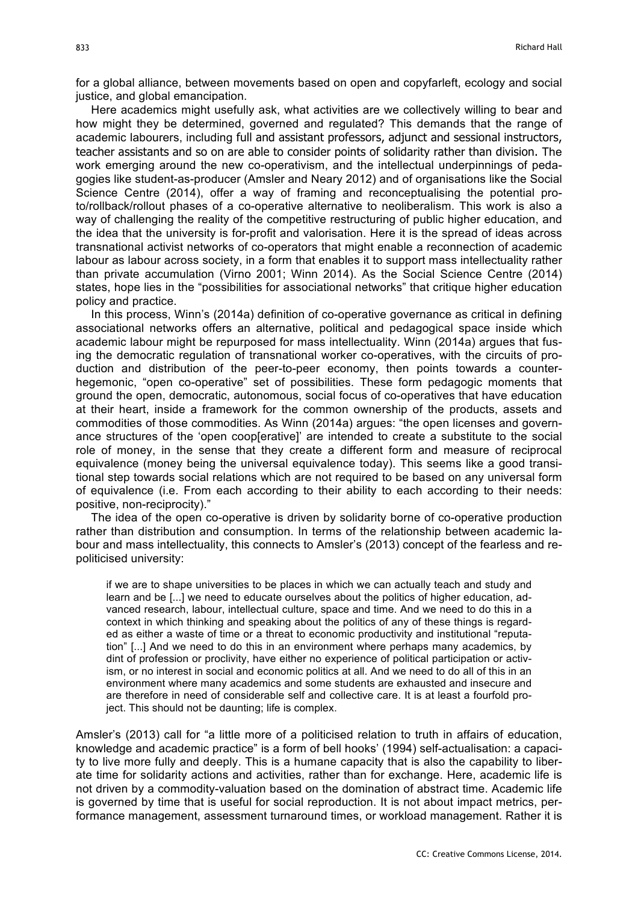for a global alliance, between movements based on open and copyfarleft, ecology and social justice, and global emancipation.

Here academics might usefully ask, what activities are we collectively willing to bear and how might they be determined, governed and regulated? This demands that the range of academic labourers, including full and assistant professors, adjunct and sessional instructors, teacher assistants and so on are able to consider points of solidarity rather than division. The work emerging around the new co-operativism, and the intellectual underpinnings of pedagogies like student-as-producer (Amsler and Neary 2012) and of organisations like the Social Science Centre (2014), offer a way of framing and reconceptualising the potential proto/rollback/rollout phases of a co-operative alternative to neoliberalism. This work is also a way of challenging the reality of the competitive restructuring of public higher education, and the idea that the university is for-profit and valorisation. Here it is the spread of ideas across transnational activist networks of co-operators that might enable a reconnection of academic labour as labour across society, in a form that enables it to support mass intellectuality rather than private accumulation (Virno 2001; Winn 2014). As the Social Science Centre (2014) states, hope lies in the "possibilities for associational networks" that critique higher education policy and practice.

In this process, Winn's (2014a) definition of co-operative governance as critical in defining associational networks offers an alternative, political and pedagogical space inside which academic labour might be repurposed for mass intellectuality. Winn (2014a) argues that fusing the democratic regulation of transnational worker co-operatives, with the circuits of production and distribution of the peer-to-peer economy, then points towards a counterhegemonic, "open co-operative" set of possibilities. These form pedagogic moments that ground the open, democratic, autonomous, social focus of co-operatives that have education at their heart, inside a framework for the common ownership of the products, assets and commodities of those commodities. As Winn (2014a) argues: "the open licenses and governance structures of the 'open coop[erative]' are intended to create a substitute to the social role of money, in the sense that they create a different form and measure of reciprocal equivalence (money being the universal equivalence today). This seems like a good transitional step towards social relations which are not required to be based on any universal form of equivalence (i.e. From each according to their ability to each according to their needs: positive, non-reciprocity)."

The idea of the open co-operative is driven by solidarity borne of co-operative production rather than distribution and consumption. In terms of the relationship between academic labour and mass intellectuality, this connects to Amsler's (2013) concept of the fearless and repoliticised university:

if we are to shape universities to be places in which we can actually teach and study and learn and be [...] we need to educate ourselves about the politics of higher education, advanced research, labour, intellectual culture, space and time. And we need to do this in a context in which thinking and speaking about the politics of any of these things is regarded as either a waste of time or a threat to economic productivity and institutional "reputation" [...] And we need to do this in an environment where perhaps many academics, by dint of profession or proclivity, have either no experience of political participation or activism, or no interest in social and economic politics at all. And we need to do all of this in an environment where many academics and some students are exhausted and insecure and are therefore in need of considerable self and collective care. It is at least a fourfold project. This should not be daunting; life is complex.

Amsler's (2013) call for "a little more of a politicised relation to truth in affairs of education, knowledge and academic practice" is a form of bell hooks' (1994) self-actualisation: a capacity to live more fully and deeply. This is a humane capacity that is also the capability to liberate time for solidarity actions and activities, rather than for exchange. Here, academic life is not driven by a commodity-valuation based on the domination of abstract time. Academic life is governed by time that is useful for social reproduction. It is not about impact metrics, performance management, assessment turnaround times, or workload management. Rather it is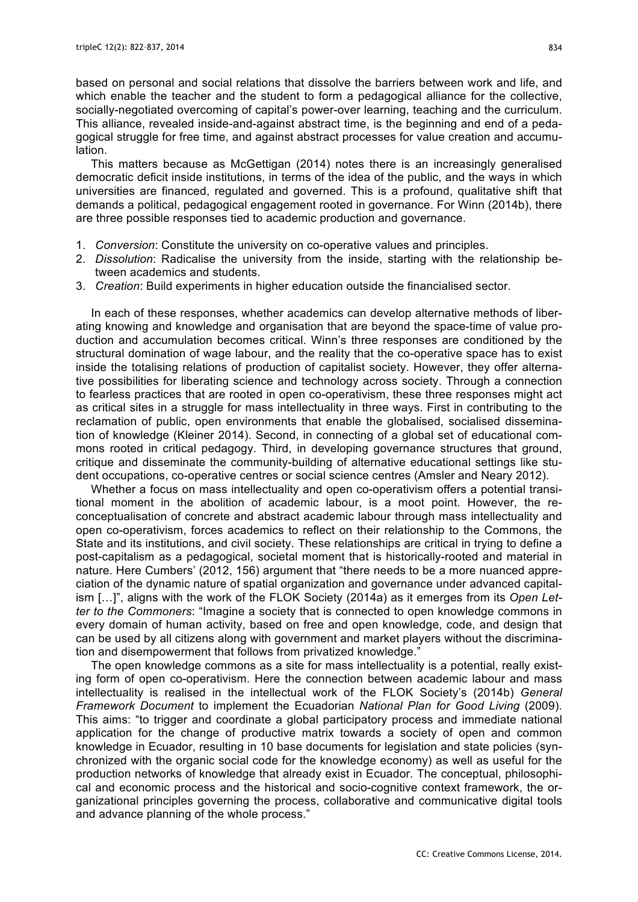based on personal and social relations that dissolve the barriers between work and life, and which enable the teacher and the student to form a pedagogical alliance for the collective, socially-negotiated overcoming of capital's power-over learning, teaching and the curriculum. This alliance, revealed inside-and-against abstract time, is the beginning and end of a pedagogical struggle for free time, and against abstract processes for value creation and accumulation.

This matters because as McGettigan (2014) notes there is an increasingly generalised democratic deficit inside institutions, in terms of the idea of the public, and the ways in which universities are financed, regulated and governed. This is a profound, qualitative shift that demands a political, pedagogical engagement rooted in governance. For Winn (2014b), there are three possible responses tied to academic production and governance.

- 1. *Conversion*: Constitute the university on co-operative values and principles.
- 2. *Dissolution*: Radicalise the university from the inside, starting with the relationship between academics and students.
- 3. *Creation*: Build experiments in higher education outside the financialised sector.

In each of these responses, whether academics can develop alternative methods of liberating knowing and knowledge and organisation that are beyond the space-time of value production and accumulation becomes critical. Winn's three responses are conditioned by the structural domination of wage labour, and the reality that the co-operative space has to exist inside the totalising relations of production of capitalist society. However, they offer alternative possibilities for liberating science and technology across society. Through a connection to fearless practices that are rooted in open co-operativism, these three responses might act as critical sites in a struggle for mass intellectuality in three ways. First in contributing to the reclamation of public, open environments that enable the globalised, socialised dissemination of knowledge (Kleiner 2014). Second, in connecting of a global set of educational commons rooted in critical pedagogy. Third, in developing governance structures that ground, critique and disseminate the community-building of alternative educational settings like student occupations, co-operative centres or social science centres (Amsler and Neary 2012).

Whether a focus on mass intellectuality and open co-operativism offers a potential transitional moment in the abolition of academic labour, is a moot point. However, the reconceptualisation of concrete and abstract academic labour through mass intellectuality and open co-operativism, forces academics to reflect on their relationship to the Commons, the State and its institutions, and civil society. These relationships are critical in trying to define a post-capitalism as a pedagogical, societal moment that is historically-rooted and material in nature. Here Cumbers' (2012, 156) argument that "there needs to be a more nuanced appreciation of the dynamic nature of spatial organization and governance under advanced capitalism […]", aligns with the work of the FLOK Society (2014a) as it emerges from its *Open Letter to the Commoners*: "Imagine a society that is connected to open knowledge commons in every domain of human activity, based on free and open knowledge, code, and design that can be used by all citizens along with government and market players without the discrimination and disempowerment that follows from privatized knowledge."

The open knowledge commons as a site for mass intellectuality is a potential, really existing form of open co-operativism. Here the connection between academic labour and mass intellectuality is realised in the intellectual work of the FLOK Society's (2014b) *General Framework Document* to implement the Ecuadorian *National Plan for Good Living* (2009). This aims: "to trigger and coordinate a global participatory process and immediate national application for the change of productive matrix towards a society of open and common knowledge in Ecuador, resulting in 10 base documents for legislation and state policies (synchronized with the organic social code for the knowledge economy) as well as useful for the production networks of knowledge that already exist in Ecuador. The conceptual, philosophical and economic process and the historical and socio-cognitive context framework, the organizational principles governing the process, collaborative and communicative digital tools and advance planning of the whole process."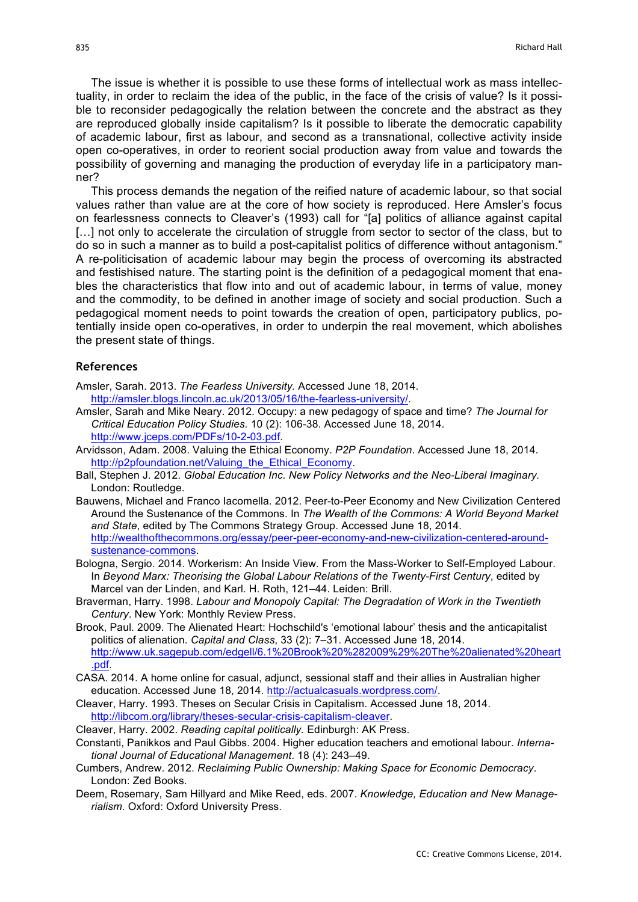The issue is whether it is possible to use these forms of intellectual work as mass intellectuality, in order to reclaim the idea of the public, in the face of the crisis of value? Is it possible to reconsider pedagogically the relation between the concrete and the abstract as they are reproduced globally inside capitalism? Is it possible to liberate the democratic capability of academic labour, first as labour, and second as a transnational, collective activity inside open co-operatives, in order to reorient social production away from value and towards the possibility of governing and managing the production of everyday life in a participatory manner?

This process demands the negation of the reified nature of academic labour, so that social values rather than value are at the core of how society is reproduced. Here Amsler's focus on fearlessness connects to Cleaver's (1993) call for "[a] politics of alliance against capital [...] not only to accelerate the circulation of struggle from sector to sector of the class, but to do so in such a manner as to build a post-capitalist politics of difference without antagonism." A re-politicisation of academic labour may begin the process of overcoming its abstracted and festishised nature. The starting point is the definition of a pedagogical moment that enables the characteristics that flow into and out of academic labour, in terms of value, money and the commodity, to be defined in another image of society and social production. Such a pedagogical moment needs to point towards the creation of open, participatory publics, potentially inside open co-operatives, in order to underpin the real movement, which abolishes the present state of things.

#### **References**

- Amsler, Sarah. 2013. *The Fearless University.* Accessed June 18, 2014. http://amsler.blogs.lincoln.ac.uk/2013/05/16/the-fearless-university/.
- Amsler, Sarah and Mike Neary. 2012. Occupy: a new pedagogy of space and time? *The Journal for Critical Education Policy Studies.* 10 (2): 106-38. Accessed June 18, 2014. http://www.jceps.com/PDFs/10-2-03.pdf.
- Arvidsson, Adam. 2008. Valuing the Ethical Economy. *P2P Foundation*. Accessed June 18, 2014. http://p2pfoundation.net/Valuing\_the\_Ethical\_Economy.
- Ball, Stephen J. 2012. *Global Education Inc. New Policy Networks and the Neo-Liberal Imaginary.*  London: Routledge.
- Bauwens, Michael and Franco Iacomella. 2012. Peer-to-Peer Economy and New Civilization Centered Around the Sustenance of the Commons. In *The Wealth of the Commons: A World Beyond Market and State*, edited by The Commons Strategy Group. Accessed June 18, 2014. http://wealthofthecommons.org/essay/peer-peer-economy-and-new-civilization-centered-aroundsustenance-commons.
- Bologna, Sergio. 2014. Workerism: An Inside View. From the Mass-Worker to Self-Employed Labour. In *Beyond Marx: Theorising the Global Labour Relations of the Twenty-First Century*, edited by Marcel van der Linden, and Karl. H. Roth, 121–44. Leiden: Brill.
- Braverman, Harry. 1998. *Labour and Monopoly Capital: The Degradation of Work in the Twentieth Century*. New York: Monthly Review Press.
- Brook, Paul. 2009. The Alienated Heart: Hochschild's 'emotional labour' thesis and the anticapitalist politics of alienation. *Capital and Class*, 33 (2): 7–31. Accessed June 18, 2014. http://www.uk.sagepub.com/edgell/6.1%20Brook%20%282009%29%20The%20alienated%20heart .pdf.
- CASA. 2014. A home online for casual, adjunct, sessional staff and their allies in Australian higher education. Accessed June 18, 2014. http://actualcasuals.wordpress.com/.
- Cleaver, Harry. 1993. Theses on Secular Crisis in Capitalism. Accessed June 18, 2014. http://libcom.org/library/theses-secular-crisis-capitalism-cleaver.
- Cleaver, Harry. 2002. *Reading capital politically.* Edinburgh: AK Press.
- Constanti, Panikkos and Paul Gibbs. 2004. Higher education teachers and emotional labour. *International Journal of Educational Management*. 18 (4): 243–49.
- Cumbers, Andrew. 2012. *Reclaiming Public Ownership: Making Space for Economic Democracy*. London: Zed Books.
- Deem, Rosemary, Sam Hillyard and Mike Reed, eds. 2007. *Knowledge, Education and New Managerialism.* Oxford: Oxford University Press.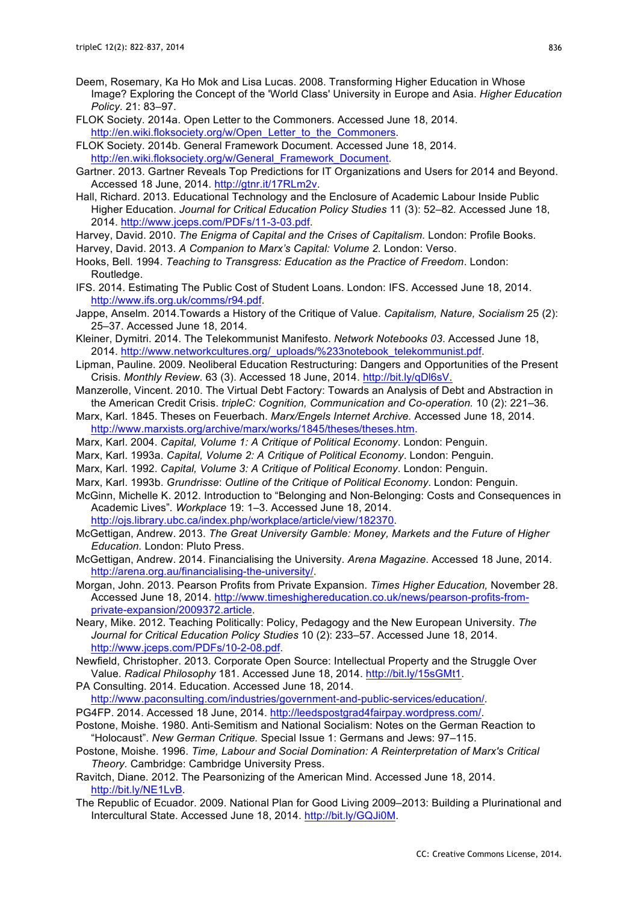- Deem, Rosemary, Ka Ho Mok and Lisa Lucas. 2008. Transforming Higher Education in Whose Image? Exploring the Concept of the 'World Class' University in Europe and Asia. *Higher Education Policy*. 21: 83–97.
- FLOK Society. 2014a. Open Letter to the Commoners. Accessed June 18, 2014. http://en.wiki.floksociety.org/w/Open\_Letter\_to\_the\_Commoners.

FLOK Society. 2014b. General Framework Document. Accessed June 18, 2014. http://en.wiki.floksociety.org/w/General\_Framework\_Document.

- Gartner. 2013. Gartner Reveals Top Predictions for IT Organizations and Users for 2014 and Beyond. Accessed 18 June, 2014. http://gtnr.it/17RLm2v.
- Hall, Richard. 2013. Educational Technology and the Enclosure of Academic Labour Inside Public Higher Education. *Journal for Critical Education Policy Studies* 11 (3): 52–82*.* Accessed June 18, 2014. http://www.jceps.com/PDFs/11-3-03.pdf.
- Harvey, David. 2010. *The Enigma of Capital and the Crises of Capitalism.* London: Profile Books.
- Harvey, David. 2013. *A Companion to Marx's Capital: Volume 2.* London: Verso.
- Hooks, Bell. 1994. *Teaching to Transgress: Education as the Practice of Freedom*. London: Routledge.
- IFS. 2014. Estimating The Public Cost of Student Loans. London: IFS. Accessed June 18, 2014. http://www.ifs.org.uk/comms/r94.pdf.
- Jappe, Anselm. 2014.Towards a History of the Critique of Value. *Capitalism, Nature, Socialism* 25 (2): 25–37. Accessed June 18, 2014.
- Kleiner, Dymitri. 2014. The Telekommunist Manifesto. *Network Notebooks 03*. Accessed June 18, 2014. http://www.networkcultures.org/\_uploads/%233notebook\_telekommunist.pdf.
- Lipman, Pauline. 2009. Neoliberal Education Restructuring: Dangers and Opportunities of the Present Crisis. *Monthly Review*. 63 (3). Accessed 18 June, 2014. http://bit.ly/qDl6sV.
- Manzerolle, Vincent. 2010. The Virtual Debt Factory: Towards an Analysis of Debt and Abstraction in the American Credit Crisis. *tripleC: Cognition, Communication and Co-operation.* 10 (2): 221–36.
- Marx, Karl. 1845. Theses on Feuerbach. *Marx/Engels Internet Archive.* Accessed June 18, 2014. http://www.marxists.org/archive/marx/works/1845/theses/theses.htm.
- Marx, Karl. 2004. *Capital, Volume 1: A Critique of Political Economy*. London: Penguin.
- Marx, Karl. 1993a. *Capital, Volume 2: A Critique of Political Economy*. London: Penguin.
- Marx, Karl. 1992. *Capital, Volume 3: A Critique of Political Economy*. London: Penguin.
- Marx, Karl. 1993b. *Grundrisse*: *Outline of the Critique of Political Economy*. London: Penguin.
- McGinn, Michelle K. 2012. Introduction to "Belonging and Non-Belonging: Costs and Consequences in Academic Lives"*. Workplace* 19: 1–3. Accessed June 18, 2014. http://ojs.library.ubc.ca/index.php/workplace/article/view/182370.
- McGettigan, Andrew. 2013. *The Great University Gamble: Money, Markets and the Future of Higher Education.* London: Pluto Press.
- McGettigan, Andrew. 2014. Financialising the University. *Arena Magazine*. Accessed 18 June, 2014. http://arena.org.au/financialising-the-university/.
- Morgan, John. 2013. Pearson Profits from Private Expansion. *Times Higher Education,* November 28. Accessed June 18, 2014. http://www.timeshighereducation.co.uk/news/pearson-profits-fromprivate-expansion/2009372.article.
- Neary, Mike. 2012. Teaching Politically: Policy, Pedagogy and the New European University. *The Journal for Critical Education Policy Studies* 10 (2): 233–57. Accessed June 18, 2014. http://www.jceps.com/PDFs/10-2-08.pdf.
- Newfield, Christopher. 2013. Corporate Open Source: Intellectual Property and the Struggle Over Value. *Radical Philosophy* 181. Accessed June 18, 2014. http://bit.ly/15sGMt1.
- PA Consulting. 2014. Education. Accessed June 18, 2014.

http://www.paconsulting.com/industries/government-and-public-services/education/.

- PG4FP. 2014. Accessed 18 June, 2014. http://leedspostgrad4fairpay.wordpress.com/.
- Postone, Moishe. 1980. Anti-Semitism and National Socialism: Notes on the German Reaction to "Holocaust". *New German Critique.* Special Issue 1: Germans and Jews: 97–115.
- Postone, Moishe. 1996. *Time, Labour and Social Domination: A Reinterpretation of Marx's Critical Theory.* Cambridge: Cambridge University Press.
- Ravitch, Diane. 2012. The Pearsonizing of the American Mind. Accessed June 18, 2014. http://bit.ly/NE1LvB.
- The Republic of Ecuador. 2009. National Plan for Good Living 2009–2013: Building a Plurinational and Intercultural State. Accessed June 18, 2014. http://bit.ly/GQJi0M.